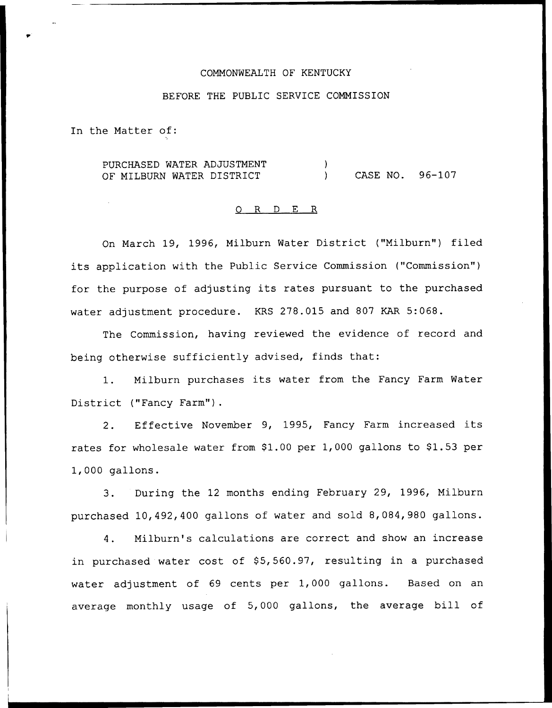# COMMONWEALTH OF KENTUCKY

## BEFORE THE PUBLIC SERVICE COMMISSION

In the Matter of:

PURCHASED WATER ADJUSTMENT OF MILBURN WATER DISTRICT ) ) CASE NO. 96-107

#### 0 R <sup>D</sup> E R

On March 19, 1996, Milburn Water District ("Milburn") filed its application with the Public Service Commission ("Commission" ) for the purpose of adjusting its rates pursuant to the purchased water adjustment procedure. KRS 278.015 and 807 KAR 5:068.

The Commission, having reviewed the evidence of record and being otherwise sufficiently advised, finds that:

1. Milburn purchases its water from the Fancy Farm Water District ("Fancy Farm").

2. Effective November 9, 1995, Fancy Farm increased its rates for wholesale water from \$1.00 per 1,000 gallons to \$1.53 per 1,000 gallons.

3. During the 12 months ending February 29, 1996, Milburn purchased 10,492,400 gallons of water and sold 8,084,980 gallons.

4. Milburn's calculations are correct and show an increase in purchased water cost of \$5,560.97, resulting in a purchased water adjustment of 69 cents per 1,000 gallons. Based on an average monthly usage of 5,000 gallons, the average bill of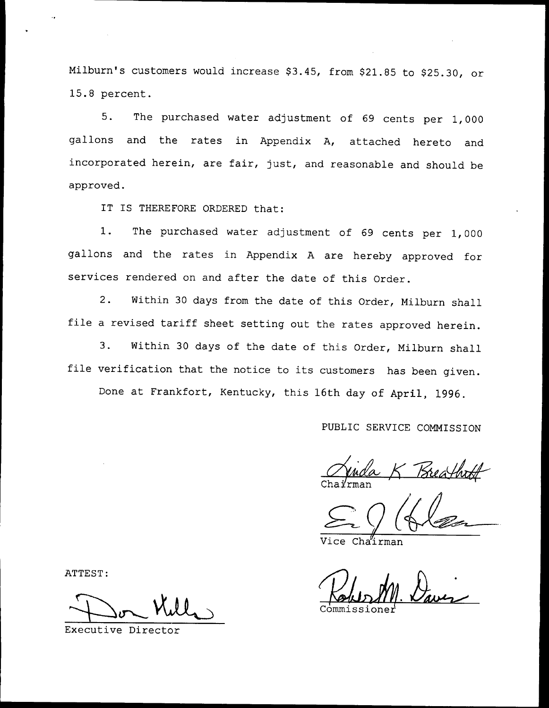Milburn's customers would increase \$3.45, from \$21.85 to \$25.30, or 15.8 percent.

5. The purchased water adjustment of <sup>69</sup> cents per 1,000 gallons and the rates in Appendix A, attached hereto and incorporated herein, are fair, just, and reasonable and should be approved.

IT IS THEREFORE ORDERED that:

1. The purchased water adjustment of <sup>69</sup> cents per 1, <sup>000</sup> gallons and the rates in Appendix <sup>A</sup> are hereby approved for services rendered on and after the date of this Order.

2. Within <sup>30</sup> days from the date of this Order, Milburn shall file <sup>a</sup> revised tariff sheet setting out the rates approved herein.

3. Within <sup>30</sup> days of the date of this Order, Milburn shall file verification that the notice to its customers has been given.

Done at Frankfort, Kentucky, this 16th day of April, 1996.

PUBLIC SERVICE COMMISSION

Treath Chairma

Cha'irman

ommissione

ATTEST:

Executive Director